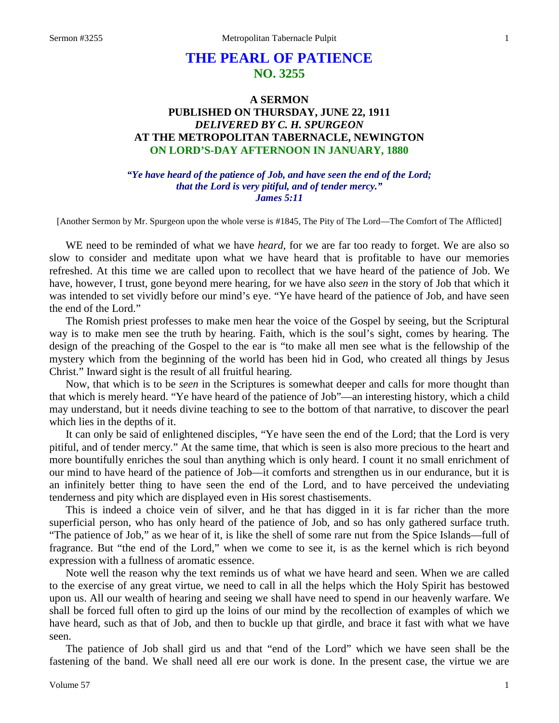# **THE PEARL OF PATIENCE NO. 3255**

## **A SERMON PUBLISHED ON THURSDAY, JUNE 22, 1911** *DELIVERED BY C. H. SPURGEON* **AT THE METROPOLITAN TABERNACLE, NEWINGTON ON LORD'S-DAY AFTERNOON IN JANUARY, 1880**

*"Ye have heard of the patience of Job, and have seen the end of the Lord; that the Lord is very pitiful, and of tender mercy." James 5:11*

[Another Sermon by Mr. Spurgeon upon the whole verse is #1845, The Pity of The Lord—The Comfort of The Afflicted]

WE need to be reminded of what we have *heard*, for we are far too ready to forget. We are also so slow to consider and meditate upon what we have heard that is profitable to have our memories refreshed. At this time we are called upon to recollect that we have heard of the patience of Job. We have, however, I trust, gone beyond mere hearing, for we have also *seen* in the story of Job that which it was intended to set vividly before our mind's eye. "Ye have heard of the patience of Job, and have seen the end of the Lord."

The Romish priest professes to make men hear the voice of the Gospel by seeing, but the Scriptural way is to make men see the truth by hearing. Faith, which is the soul's sight, comes by hearing. The design of the preaching of the Gospel to the ear is "to make all men see what is the fellowship of the mystery which from the beginning of the world has been hid in God, who created all things by Jesus Christ." Inward sight is the result of all fruitful hearing.

Now, that which is to be *seen* in the Scriptures is somewhat deeper and calls for more thought than that which is merely heard. "Ye have heard of the patience of Job"—an interesting history, which a child may understand, but it needs divine teaching to see to the bottom of that narrative, to discover the pearl which lies in the depths of it.

It can only be said of enlightened disciples, "Ye have seen the end of the Lord; that the Lord is very pitiful, and of tender mercy." At the same time, that which is seen is also more precious to the heart and more bountifully enriches the soul than anything which is only heard. I count it no small enrichment of our mind to have heard of the patience of Job—it comforts and strengthen us in our endurance, but it is an infinitely better thing to have seen the end of the Lord, and to have perceived the undeviating tenderness and pity which are displayed even in His sorest chastisements.

This is indeed a choice vein of silver, and he that has digged in it is far richer than the more superficial person, who has only heard of the patience of Job, and so has only gathered surface truth. "The patience of Job," as we hear of it, is like the shell of some rare nut from the Spice Islands—full of fragrance. But "the end of the Lord," when we come to see it, is as the kernel which is rich beyond expression with a fullness of aromatic essence.

Note well the reason why the text reminds us of what we have heard and seen. When we are called to the exercise of any great virtue, we need to call in all the helps which the Holy Spirit has bestowed upon us. All our wealth of hearing and seeing we shall have need to spend in our heavenly warfare. We shall be forced full often to gird up the loins of our mind by the recollection of examples of which we have heard, such as that of Job, and then to buckle up that girdle, and brace it fast with what we have seen.

The patience of Job shall gird us and that "end of the Lord" which we have seen shall be the fastening of the band. We shall need all ere our work is done. In the present case, the virtue we are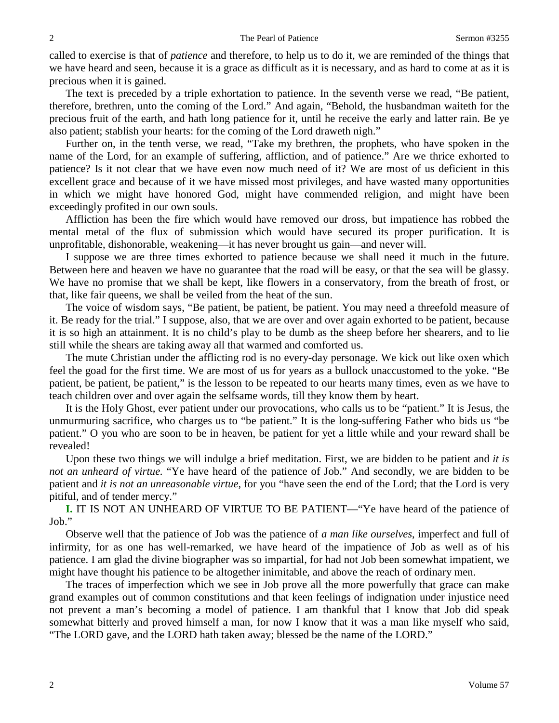called to exercise is that of *patience* and therefore, to help us to do it, we are reminded of the things that we have heard and seen, because it is a grace as difficult as it is necessary, and as hard to come at as it is precious when it is gained.

The text is preceded by a triple exhortation to patience. In the seventh verse we read, "Be patient, therefore, brethren, unto the coming of the Lord." And again, "Behold, the husbandman waiteth for the precious fruit of the earth, and hath long patience for it, until he receive the early and latter rain. Be ye also patient; stablish your hearts: for the coming of the Lord draweth nigh."

Further on, in the tenth verse, we read, "Take my brethren, the prophets, who have spoken in the name of the Lord, for an example of suffering, affliction, and of patience." Are we thrice exhorted to patience? Is it not clear that we have even now much need of it? We are most of us deficient in this excellent grace and because of it we have missed most privileges, and have wasted many opportunities in which we might have honored God, might have commended religion, and might have been exceedingly profited in our own souls.

Affliction has been the fire which would have removed our dross, but impatience has robbed the mental metal of the flux of submission which would have secured its proper purification. It is unprofitable, dishonorable, weakening—it has never brought us gain—and never will.

I suppose we are three times exhorted to patience because we shall need it much in the future. Between here and heaven we have no guarantee that the road will be easy, or that the sea will be glassy. We have no promise that we shall be kept, like flowers in a conservatory, from the breath of frost, or that, like fair queens, we shall be veiled from the heat of the sun.

The voice of wisdom says, "Be patient, be patient, be patient. You may need a threefold measure of it. Be ready for the trial." I suppose, also, that we are over and over again exhorted to be patient, because it is so high an attainment. It is no child's play to be dumb as the sheep before her shearers, and to lie still while the shears are taking away all that warmed and comforted us.

The mute Christian under the afflicting rod is no every-day personage. We kick out like oxen which feel the goad for the first time. We are most of us for years as a bullock unaccustomed to the yoke. "Be patient, be patient, be patient," is the lesson to be repeated to our hearts many times, even as we have to teach children over and over again the selfsame words, till they know them by heart.

It is the Holy Ghost, ever patient under our provocations, who calls us to be "patient." It is Jesus, the unmurmuring sacrifice, who charges us to "be patient." It is the long-suffering Father who bids us "be patient." O you who are soon to be in heaven, be patient for yet a little while and your reward shall be revealed!

Upon these two things we will indulge a brief meditation. First, we are bidden to be patient and *it is not an unheard of virtue.* "Ye have heard of the patience of Job." And secondly, we are bidden to be patient and *it is not an unreasonable virtue*, for you "have seen the end of the Lord; that the Lord is very pitiful, and of tender mercy."

**I.** IT IS NOT AN UNHEARD OF VIRTUE TO BE PATIENT—"Ye have heard of the patience of Job."

Observe well that the patience of Job was the patience of *a man like ourselves*, imperfect and full of infirmity, for as one has well-remarked, we have heard of the impatience of Job as well as of his patience. I am glad the divine biographer was so impartial, for had not Job been somewhat impatient, we might have thought his patience to be altogether inimitable, and above the reach of ordinary men.

The traces of imperfection which we see in Job prove all the more powerfully that grace can make grand examples out of common constitutions and that keen feelings of indignation under injustice need not prevent a man's becoming a model of patience. I am thankful that I know that Job did speak somewhat bitterly and proved himself a man, for now I know that it was a man like myself who said, "The LORD gave, and the LORD hath taken away; blessed be the name of the LORD."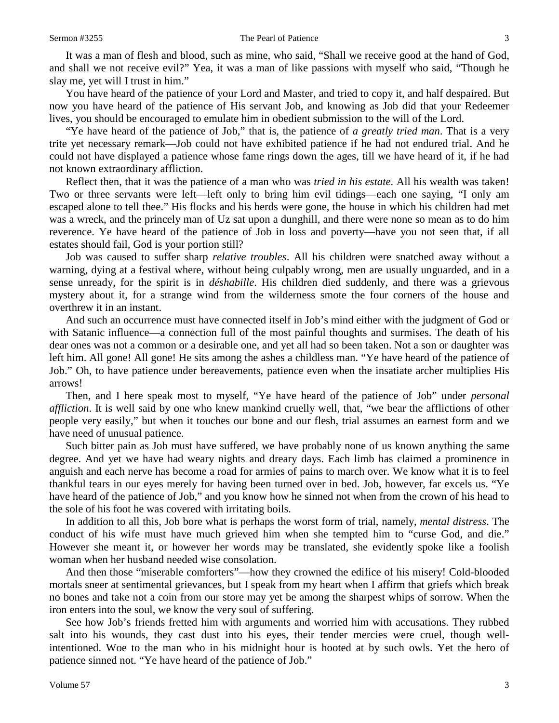It was a man of flesh and blood, such as mine, who said, "Shall we receive good at the hand of God, and shall we not receive evil?" Yea, it was a man of like passions with myself who said, "Though he slay me, yet will I trust in him."

You have heard of the patience of your Lord and Master, and tried to copy it, and half despaired. But now you have heard of the patience of His servant Job, and knowing as Job did that your Redeemer lives, you should be encouraged to emulate him in obedient submission to the will of the Lord.

"Ye have heard of the patience of Job," that is, the patience of *a greatly tried man*. That is a very trite yet necessary remark—Job could not have exhibited patience if he had not endured trial. And he could not have displayed a patience whose fame rings down the ages, till we have heard of it, if he had not known extraordinary affliction.

Reflect then, that it was the patience of a man who was *tried in his estate*. All his wealth was taken! Two or three servants were left—left only to bring him evil tidings—each one saying, "I only am escaped alone to tell thee." His flocks and his herds were gone, the house in which his children had met was a wreck, and the princely man of Uz sat upon a dunghill, and there were none so mean as to do him reverence. Ye have heard of the patience of Job in loss and poverty—have you not seen that, if all estates should fail, God is your portion still?

Job was caused to suffer sharp *relative troubles*. All his children were snatched away without a warning, dying at a festival where, without being culpably wrong, men are usually unguarded, and in a sense unready, for the spirit is in *déshabille*. His children died suddenly, and there was a grievous mystery about it, for a strange wind from the wilderness smote the four corners of the house and overthrew it in an instant.

And such an occurrence must have connected itself in Job's mind either with the judgment of God or with Satanic influence—a connection full of the most painful thoughts and surmises. The death of his dear ones was not a common or a desirable one, and yet all had so been taken. Not a son or daughter was left him. All gone! All gone! He sits among the ashes a childless man. "Ye have heard of the patience of Job." Oh, to have patience under bereavements, patience even when the insatiate archer multiplies His arrows!

Then, and I here speak most to myself, "Ye have heard of the patience of Job" under *personal affliction*. It is well said by one who knew mankind cruelly well, that, "we bear the afflictions of other people very easily," but when it touches our bone and our flesh, trial assumes an earnest form and we have need of unusual patience.

Such bitter pain as Job must have suffered, we have probably none of us known anything the same degree. And yet we have had weary nights and dreary days. Each limb has claimed a prominence in anguish and each nerve has become a road for armies of pains to march over. We know what it is to feel thankful tears in our eyes merely for having been turned over in bed. Job, however, far excels us. "Ye have heard of the patience of Job," and you know how he sinned not when from the crown of his head to the sole of his foot he was covered with irritating boils.

In addition to all this, Job bore what is perhaps the worst form of trial, namely, *mental distress*. The conduct of his wife must have much grieved him when she tempted him to "curse God, and die." However she meant it, or however her words may be translated, she evidently spoke like a foolish woman when her husband needed wise consolation.

And then those "miserable comforters"—how they crowned the edifice of his misery! Cold-blooded mortals sneer at sentimental grievances, but I speak from my heart when I affirm that griefs which break no bones and take not a coin from our store may yet be among the sharpest whips of sorrow. When the iron enters into the soul, we know the very soul of suffering.

See how Job's friends fretted him with arguments and worried him with accusations. They rubbed salt into his wounds, they cast dust into his eyes, their tender mercies were cruel, though wellintentioned. Woe to the man who in his midnight hour is hooted at by such owls. Yet the hero of patience sinned not. "Ye have heard of the patience of Job."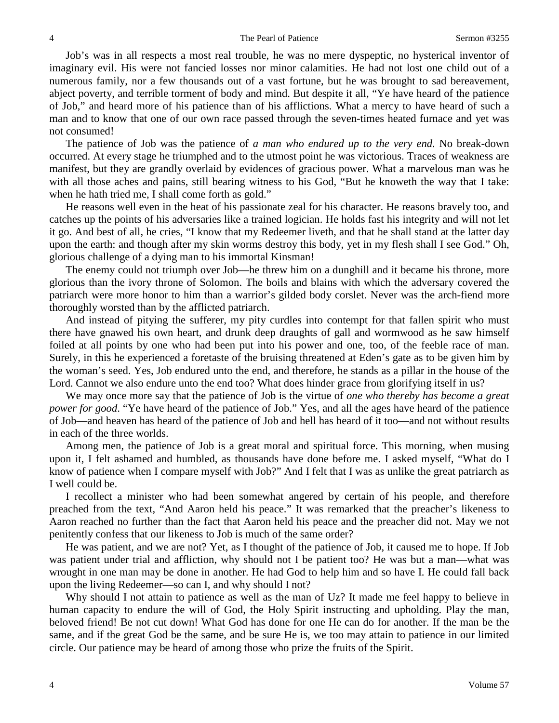Job's was in all respects a most real trouble, he was no mere dyspeptic, no hysterical inventor of imaginary evil. His were not fancied losses nor minor calamities. He had not lost one child out of a numerous family, nor a few thousands out of a vast fortune, but he was brought to sad bereavement, abject poverty, and terrible torment of body and mind. But despite it all, "Ye have heard of the patience of Job," and heard more of his patience than of his afflictions. What a mercy to have heard of such a man and to know that one of our own race passed through the seven-times heated furnace and yet was not consumed!

The patience of Job was the patience of *a man who endured up to the very end.* No break-down occurred. At every stage he triumphed and to the utmost point he was victorious. Traces of weakness are manifest, but they are grandly overlaid by evidences of gracious power. What a marvelous man was he with all those aches and pains, still bearing witness to his God, "But he knoweth the way that I take: when he hath tried me, I shall come forth as gold."

He reasons well even in the heat of his passionate zeal for his character. He reasons bravely too, and catches up the points of his adversaries like a trained logician. He holds fast his integrity and will not let it go. And best of all, he cries, "I know that my Redeemer liveth, and that he shall stand at the latter day upon the earth: and though after my skin worms destroy this body, yet in my flesh shall I see God." Oh, glorious challenge of a dying man to his immortal Kinsman!

The enemy could not triumph over Job—he threw him on a dunghill and it became his throne, more glorious than the ivory throne of Solomon. The boils and blains with which the adversary covered the patriarch were more honor to him than a warrior's gilded body corslet. Never was the arch-fiend more thoroughly worsted than by the afflicted patriarch.

And instead of pitying the sufferer, my pity curdles into contempt for that fallen spirit who must there have gnawed his own heart, and drunk deep draughts of gall and wormwood as he saw himself foiled at all points by one who had been put into his power and one, too, of the feeble race of man. Surely, in this he experienced a foretaste of the bruising threatened at Eden's gate as to be given him by the woman's seed. Yes, Job endured unto the end, and therefore, he stands as a pillar in the house of the Lord. Cannot we also endure unto the end too? What does hinder grace from glorifying itself in us?

We may once more say that the patience of Job is the virtue of *one who thereby has become a great power for good*. "Ye have heard of the patience of Job." Yes, and all the ages have heard of the patience of Job—and heaven has heard of the patience of Job and hell has heard of it too—and not without results in each of the three worlds.

Among men, the patience of Job is a great moral and spiritual force. This morning, when musing upon it, I felt ashamed and humbled, as thousands have done before me. I asked myself, "What do I know of patience when I compare myself with Job?" And I felt that I was as unlike the great patriarch as I well could be.

I recollect a minister who had been somewhat angered by certain of his people, and therefore preached from the text, "And Aaron held his peace." It was remarked that the preacher's likeness to Aaron reached no further than the fact that Aaron held his peace and the preacher did not. May we not penitently confess that our likeness to Job is much of the same order?

He was patient, and we are not? Yet, as I thought of the patience of Job, it caused me to hope. If Job was patient under trial and affliction, why should not I be patient too? He was but a man—what was wrought in one man may be done in another. He had God to help him and so have I. He could fall back upon the living Redeemer—so can I, and why should I not?

Why should I not attain to patience as well as the man of Uz? It made me feel happy to believe in human capacity to endure the will of God, the Holy Spirit instructing and upholding. Play the man, beloved friend! Be not cut down! What God has done for one He can do for another. If the man be the same, and if the great God be the same, and be sure He is, we too may attain to patience in our limited circle. Our patience may be heard of among those who prize the fruits of the Spirit.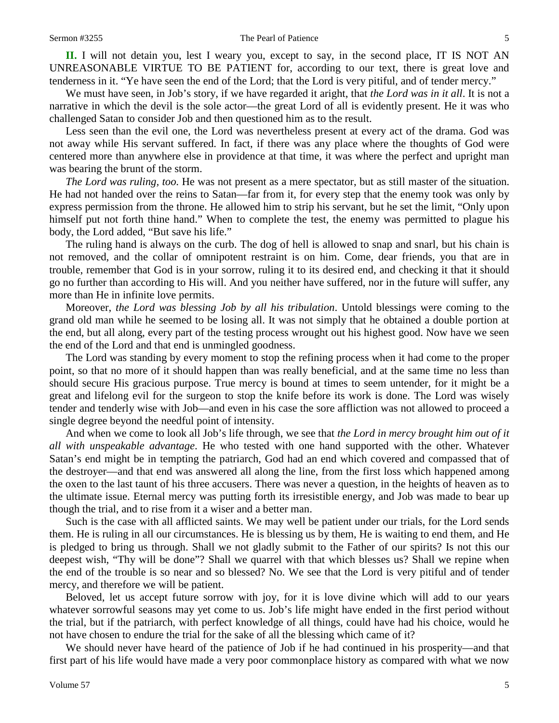**II.** I will not detain you, lest I weary you, except to say, in the second place, IT IS NOT AN UNREASONABLE VIRTUE TO BE PATIENT for, according to our text, there is great love and tenderness in it. "Ye have seen the end of the Lord; that the Lord is very pitiful, and of tender mercy."

We must have seen, in Job's story, if we have regarded it aright, that *the Lord was in it all*. It is not a narrative in which the devil is the sole actor—the great Lord of all is evidently present. He it was who challenged Satan to consider Job and then questioned him as to the result.

Less seen than the evil one, the Lord was nevertheless present at every act of the drama. God was not away while His servant suffered. In fact, if there was any place where the thoughts of God were centered more than anywhere else in providence at that time, it was where the perfect and upright man was bearing the brunt of the storm.

*The Lord was ruling, too*. He was not present as a mere spectator, but as still master of the situation. He had not handed over the reins to Satan—far from it, for every step that the enemy took was only by express permission from the throne. He allowed him to strip his servant, but he set the limit, "Only upon himself put not forth thine hand." When to complete the test, the enemy was permitted to plague his body, the Lord added, "But save his life."

The ruling hand is always on the curb. The dog of hell is allowed to snap and snarl, but his chain is not removed, and the collar of omnipotent restraint is on him. Come, dear friends, you that are in trouble, remember that God is in your sorrow, ruling it to its desired end, and checking it that it should go no further than according to His will. And you neither have suffered, nor in the future will suffer, any more than He in infinite love permits.

Moreover, *the Lord was blessing Job by all his tribulation*. Untold blessings were coming to the grand old man while he seemed to be losing all. It was not simply that he obtained a double portion at the end, but all along, every part of the testing process wrought out his highest good. Now have we seen the end of the Lord and that end is unmingled goodness.

The Lord was standing by every moment to stop the refining process when it had come to the proper point, so that no more of it should happen than was really beneficial, and at the same time no less than should secure His gracious purpose. True mercy is bound at times to seem untender, for it might be a great and lifelong evil for the surgeon to stop the knife before its work is done. The Lord was wisely tender and tenderly wise with Job—and even in his case the sore affliction was not allowed to proceed a single degree beyond the needful point of intensity.

And when we come to look all Job's life through, we see that *the Lord in mercy brought him out of it all with unspeakable advantage*. He who tested with one hand supported with the other. Whatever Satan's end might be in tempting the patriarch, God had an end which covered and compassed that of the destroyer—and that end was answered all along the line, from the first loss which happened among the oxen to the last taunt of his three accusers. There was never a question, in the heights of heaven as to the ultimate issue. Eternal mercy was putting forth its irresistible energy, and Job was made to bear up though the trial, and to rise from it a wiser and a better man.

Such is the case with all afflicted saints. We may well be patient under our trials, for the Lord sends them. He is ruling in all our circumstances. He is blessing us by them, He is waiting to end them, and He is pledged to bring us through. Shall we not gladly submit to the Father of our spirits? Is not this our deepest wish, "Thy will be done"? Shall we quarrel with that which blesses us? Shall we repine when the end of the trouble is so near and so blessed? No. We see that the Lord is very pitiful and of tender mercy, and therefore we will be patient.

Beloved, let us accept future sorrow with joy, for it is love divine which will add to our years whatever sorrowful seasons may yet come to us. Job's life might have ended in the first period without the trial, but if the patriarch, with perfect knowledge of all things, could have had his choice, would he not have chosen to endure the trial for the sake of all the blessing which came of it?

We should never have heard of the patience of Job if he had continued in his prosperity—and that first part of his life would have made a very poor commonplace history as compared with what we now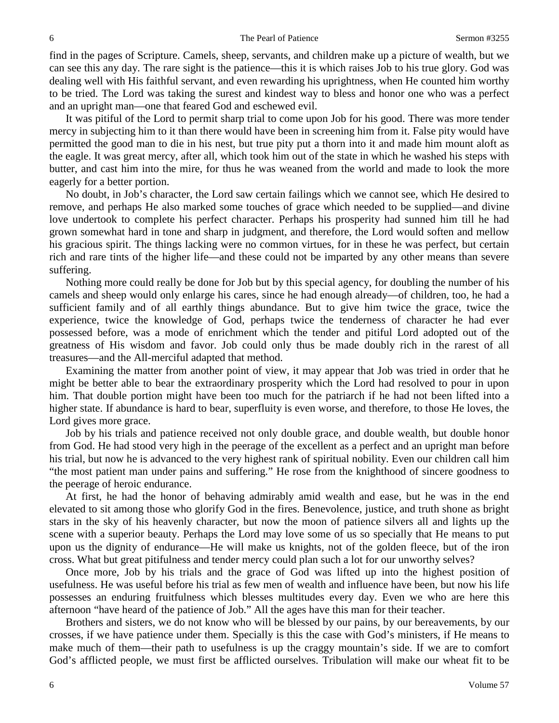find in the pages of Scripture. Camels, sheep, servants, and children make up a picture of wealth, but we can see this any day. The rare sight is the patience—this it is which raises Job to his true glory. God was dealing well with His faithful servant, and even rewarding his uprightness, when He counted him worthy to be tried. The Lord was taking the surest and kindest way to bless and honor one who was a perfect and an upright man—one that feared God and eschewed evil.

It was pitiful of the Lord to permit sharp trial to come upon Job for his good. There was more tender mercy in subjecting him to it than there would have been in screening him from it. False pity would have permitted the good man to die in his nest, but true pity put a thorn into it and made him mount aloft as the eagle. It was great mercy, after all, which took him out of the state in which he washed his steps with butter, and cast him into the mire, for thus he was weaned from the world and made to look the more eagerly for a better portion.

No doubt, in Job's character, the Lord saw certain failings which we cannot see, which He desired to remove, and perhaps He also marked some touches of grace which needed to be supplied—and divine love undertook to complete his perfect character. Perhaps his prosperity had sunned him till he had grown somewhat hard in tone and sharp in judgment, and therefore, the Lord would soften and mellow his gracious spirit. The things lacking were no common virtues, for in these he was perfect, but certain rich and rare tints of the higher life—and these could not be imparted by any other means than severe suffering.

Nothing more could really be done for Job but by this special agency, for doubling the number of his camels and sheep would only enlarge his cares, since he had enough already—of children, too, he had a sufficient family and of all earthly things abundance. But to give him twice the grace, twice the experience, twice the knowledge of God, perhaps twice the tenderness of character he had ever possessed before, was a mode of enrichment which the tender and pitiful Lord adopted out of the greatness of His wisdom and favor. Job could only thus be made doubly rich in the rarest of all treasures—and the All-merciful adapted that method.

Examining the matter from another point of view, it may appear that Job was tried in order that he might be better able to bear the extraordinary prosperity which the Lord had resolved to pour in upon him. That double portion might have been too much for the patriarch if he had not been lifted into a higher state. If abundance is hard to bear, superfluity is even worse, and therefore, to those He loves, the Lord gives more grace.

Job by his trials and patience received not only double grace, and double wealth, but double honor from God. He had stood very high in the peerage of the excellent as a perfect and an upright man before his trial, but now he is advanced to the very highest rank of spiritual nobility. Even our children call him "the most patient man under pains and suffering." He rose from the knighthood of sincere goodness to the peerage of heroic endurance.

At first, he had the honor of behaving admirably amid wealth and ease, but he was in the end elevated to sit among those who glorify God in the fires. Benevolence, justice, and truth shone as bright stars in the sky of his heavenly character, but now the moon of patience silvers all and lights up the scene with a superior beauty. Perhaps the Lord may love some of us so specially that He means to put upon us the dignity of endurance—He will make us knights, not of the golden fleece, but of the iron cross. What but great pitifulness and tender mercy could plan such a lot for our unworthy selves?

Once more, Job by his trials and the grace of God was lifted up into the highest position of usefulness. He was useful before his trial as few men of wealth and influence have been, but now his life possesses an enduring fruitfulness which blesses multitudes every day. Even we who are here this afternoon "have heard of the patience of Job." All the ages have this man for their teacher.

Brothers and sisters, we do not know who will be blessed by our pains, by our bereavements, by our crosses, if we have patience under them. Specially is this the case with God's ministers, if He means to make much of them—their path to usefulness is up the craggy mountain's side. If we are to comfort God's afflicted people, we must first be afflicted ourselves. Tribulation will make our wheat fit to be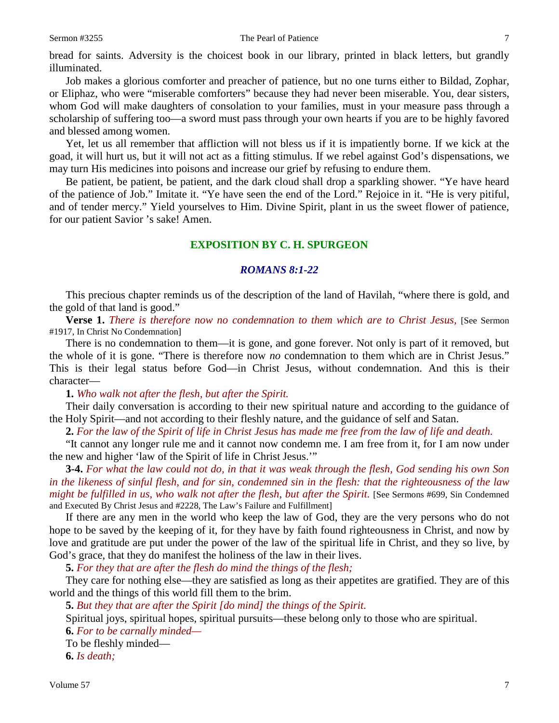bread for saints. Adversity is the choicest book in our library, printed in black letters, but grandly illuminated.

Job makes a glorious comforter and preacher of patience, but no one turns either to Bildad, Zophar, or Eliphaz, who were "miserable comforters" because they had never been miserable. You, dear sisters, whom God will make daughters of consolation to your families, must in your measure pass through a scholarship of suffering too—a sword must pass through your own hearts if you are to be highly favored and blessed among women.

Yet, let us all remember that affliction will not bless us if it is impatiently borne. If we kick at the goad, it will hurt us, but it will not act as a fitting stimulus. If we rebel against God's dispensations, we may turn His medicines into poisons and increase our grief by refusing to endure them.

Be patient, be patient, be patient, and the dark cloud shall drop a sparkling shower. "Ye have heard of the patience of Job." Imitate it. "Ye have seen the end of the Lord." Rejoice in it. "He is very pitiful, and of tender mercy." Yield yourselves to Him. Divine Spirit, plant in us the sweet flower of patience, for our patient Savior 's sake! Amen.

# **EXPOSITION BY C. H. SPURGEON**

## *ROMANS 8:1-22*

This precious chapter reminds us of the description of the land of Havilah, "where there is gold, and the gold of that land is good."

**Verse 1.** *There is therefore now no condemnation to them which are to Christ Jesus,* [See Sermon #1917, In Christ No Condemnation]

There is no condemnation to them—it is gone, and gone forever. Not only is part of it removed, but the whole of it is gone. "There is therefore now *no* condemnation to them which are in Christ Jesus." This is their legal status before God—in Christ Jesus, without condemnation. And this is their character—

**1.** *Who walk not after the flesh, but after the Spirit.* 

Their daily conversation is according to their new spiritual nature and according to the guidance of the Holy Spirit—and not according to their fleshly nature, and the guidance of self and Satan.

**2.** *For the law of the Spirit of life in Christ Jesus has made me free from the law of life and death.* 

"It cannot any longer rule me and it cannot now condemn me. I am free from it, for I am now under the new and higher 'law of the Spirit of life in Christ Jesus.'"

**3-4.** *For what the law could not do, in that it was weak through the flesh, God sending his own Son in the likeness of sinful flesh, and for sin, condemned sin in the flesh: that the righteousness of the law might be fulfilled in us, who walk not after the flesh, but after the Spirit.* [See Sermons #699, Sin Condemned and Executed By Christ Jesus and #2228, The Law's Failure and Fulfillment]

If there are any men in the world who keep the law of God, they are the very persons who do not hope to be saved by the keeping of it, for they have by faith found righteousness in Christ, and now by love and gratitude are put under the power of the law of the spiritual life in Christ, and they so live, by God's grace, that they do manifest the holiness of the law in their lives.

**5.** *For they that are after the flesh do mind the things of the flesh;*

They care for nothing else—they are satisfied as long as their appetites are gratified. They are of this world and the things of this world fill them to the brim.

**5.** *But they that are after the Spirit [do mind] the things of the Spirit.* 

Spiritual joys, spiritual hopes, spiritual pursuits—these belong only to those who are spiritual.

**6.** *For to be carnally minded—*

To be fleshly minded—

**6.** *Is death;*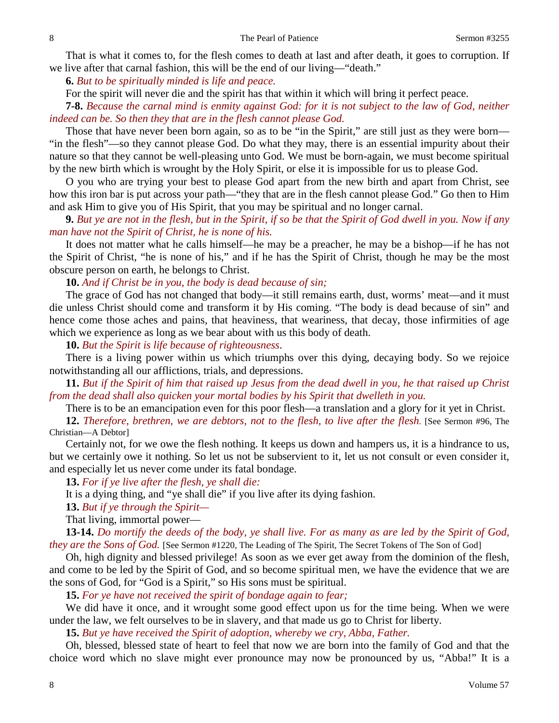That is what it comes to, for the flesh comes to death at last and after death, it goes to corruption. If we live after that carnal fashion, this will be the end of our living—"death."

**6.** *But to be spiritually minded is life and peace.* 

For the spirit will never die and the spirit has that within it which will bring it perfect peace.

**7-8.** *Because the carnal mind is enmity against God: for it is not subject to the law of God, neither indeed can be. So then they that are in the flesh cannot please God.* 

Those that have never been born again, so as to be "in the Spirit," are still just as they were born— "in the flesh"—so they cannot please God. Do what they may, there is an essential impurity about their nature so that they cannot be well-pleasing unto God. We must be born-again, we must become spiritual by the new birth which is wrought by the Holy Spirit, or else it is impossible for us to please God.

O you who are trying your best to please God apart from the new birth and apart from Christ, see how this iron bar is put across your path—"they that are in the flesh cannot please God." Go then to Him and ask Him to give you of His Spirit, that you may be spiritual and no longer carnal.

**9.** *But ye are not in the flesh, but in the Spirit, if so be that the Spirit of God dwell in you. Now if any man have not the Spirit of Christ, he is none of his.* 

It does not matter what he calls himself—he may be a preacher, he may be a bishop—if he has not the Spirit of Christ, "he is none of his," and if he has the Spirit of Christ, though he may be the most obscure person on earth, he belongs to Christ.

**10.** *And if Christ be in you, the body is dead because of sin;*

The grace of God has not changed that body—it still remains earth, dust, worms' meat—and it must die unless Christ should come and transform it by His coming. "The body is dead because of sin" and hence come those aches and pains, that heaviness, that weariness, that decay, those infirmities of age which we experience as long as we bear about with us this body of death.

**10.** *But the Spirit is life because of righteousness*.

There is a living power within us which triumphs over this dying, decaying body. So we rejoice notwithstanding all our afflictions, trials, and depressions.

**11.** *But if the Spirit of him that raised up Jesus from the dead dwell in you, he that raised up Christ from the dead shall also quicken your mortal bodies by his Spirit that dwelleth in you.* 

There is to be an emancipation even for this poor flesh—a translation and a glory for it yet in Christ.

**12.** *Therefore, brethren, we are debtors, not to the flesh, to live after the flesh.* [See Sermon #96, The Christian—A Debtor]

Certainly not, for we owe the flesh nothing. It keeps us down and hampers us, it is a hindrance to us, but we certainly owe it nothing. So let us not be subservient to it, let us not consult or even consider it, and especially let us never come under its fatal bondage.

#### **13.** *For if ye live after the flesh, ye shall die:*

It is a dying thing, and "ye shall die" if you live after its dying fashion.

**13.** *But if ye through the Spirit—*

That living, immortal power—

**13-14.** *Do mortify the deeds of the body, ye shall live. For as many as are led by the Spirit of God, they are the Sons of God.* [See Sermon #1220, The Leading of The Spirit, The Secret Tokens of The Son of God]

Oh, high dignity and blessed privilege! As soon as we ever get away from the dominion of the flesh, and come to be led by the Spirit of God, and so become spiritual men, we have the evidence that we are the sons of God, for "God is a Spirit," so His sons must be spiritual.

**15.** *For ye have not received the spirit of bondage again to fear;*

We did have it once, and it wrought some good effect upon us for the time being. When we were under the law, we felt ourselves to be in slavery, and that made us go to Christ for liberty.

**15.** *But ye have received the Spirit of adoption, whereby we cry, Abba, Father.* 

Oh, blessed, blessed state of heart to feel that now we are born into the family of God and that the choice word which no slave might ever pronounce may now be pronounced by us, "Abba!" It is a